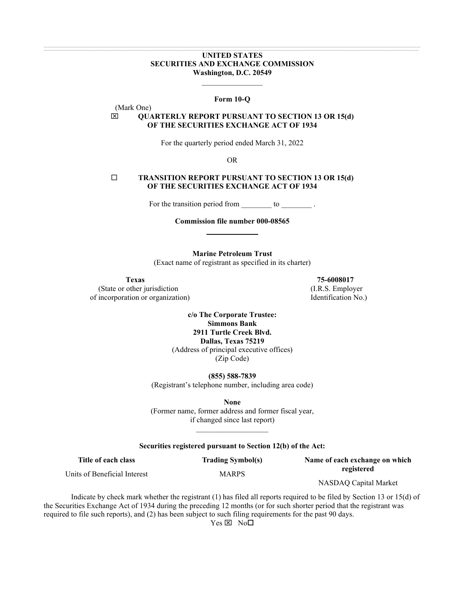# **UNITED STATES SECURITIES AND EXCHANGE COMMISSION Washington, D.C. 20549**

#### **Form 10-Q**

 $\mathcal{L}$  , we have the set of the set of the set of the set of the set of the set of the set of the set of the set of the set of the set of the set of the set of the set of the set of the set of the set of the set of the

# **QUARTERLY REPORT PURSUANT TO SECTION 13 OR 15(d) OF THE SECURITIES EXCHANGE ACT OF 1934**

For the quarterly period ended March 31, 2022

OR

## **TRANSITION REPORT PURSUANT TO SECTION 13 OR 15(d) OF THE SECURITIES EXCHANGE ACT OF 1934**

For the transition period from to to the transition period from the state of the state of the state of the state of the state of the state of the state of the state of the state of the state of the state of the state of th

**Commission file number 000-08565** 

**Marine Petroleum Trust** 

(Exact name of registrant as specified in its charter)

(Mark One)

(State or other jurisdiction (I.R.S. Employer of incorporation or organization) Identification No.)

**Texas 75-6008017**

**c/o The Corporate Trustee: Simmons Bank 2911 Turtle Creek Blvd. Dallas, Texas 75219** (Address of principal executive offices) (Zip Code)

**(855) 588-7839** (Registrant's telephone number, including area code)

**None** (Former name, former address and former fiscal year, if changed since last report)

#### **Securities registered pursuant to Section 12(b) of the Act:**

 $\mathcal{L}_\text{max}$  , where  $\mathcal{L}_\text{max}$ 

**Title of each class** Units of Beneficial Interest **Trading Symbol(s)** MARPS

**Name of each exchange on which registered**

NASDAQ Capital Market

Indicate by check mark whether the registrant (1) has filed all reports required to be filed by Section 13 or 15(d) of the Securities Exchange Act of 1934 during the preceding 12 months (or for such shorter period that the registrant was required to file such reports), and (2) has been subject to such filing requirements for the past 90 days.

 $Yes \boxtimes No\square$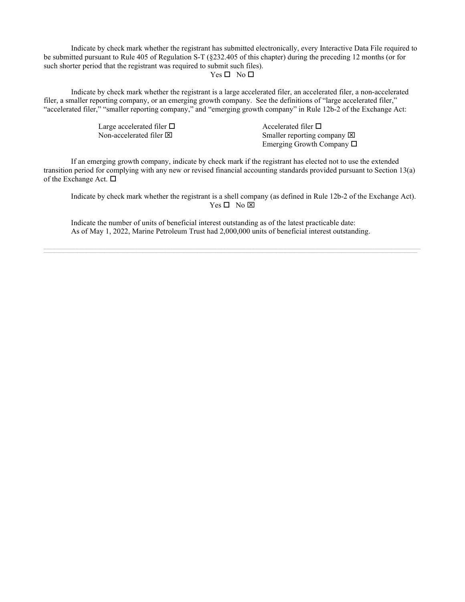Indicate by check mark whether the registrant has submitted electronically, every Interactive Data File required to be submitted pursuant to Rule 405 of Regulation S-T (§232.405 of this chapter) during the preceding 12 months (or for such shorter period that the registrant was required to submit such files).  $Yes \Box No \Box$ 

Indicate by check mark whether the registrant is a large accelerated filer, an accelerated filer, a non-accelerated filer, a smaller reporting company, or an emerging growth company. See the definitions of "large accelerated filer," "accelerated filer," "smaller reporting company," and "emerging growth company" in Rule 12b-2 of the Exchange Act:

Large accelerated filer  $\square$ <br>
Non-accelerated filer  $\square$ <br>
Smaller reporting co

Smaller reporting company  $\boxtimes$ Emerging Growth Company  $\Box$ 

If an emerging growth company, indicate by check mark if the registrant has elected not to use the extended transition period for complying with any new or revised financial accounting standards provided pursuant to Section 13(a) of the Exchange Act.  $\Box$ 

Indicate by check mark whether the registrant is a shell company (as defined in Rule 12b-2 of the Exchange Act).  $Yes \Box No \boxtimes$ 

Indicate the number of units of beneficial interest outstanding as of the latest practicable date: As of May 1, 2022, Marine Petroleum Trust had 2,000,000 units of beneficial interest outstanding.

,我们也不会有什么?""我们的人,我们也不会有什么?""我们的人,我们也不会有什么?""我们的人,我们也不会有什么?""我们的人,我们也不会有什么?""我们的人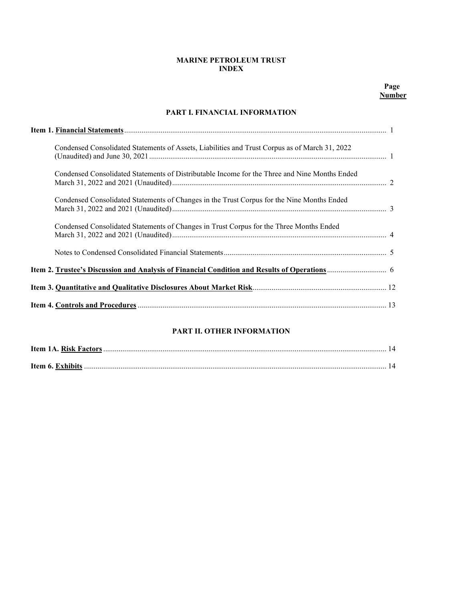# **MARINE PETROLEUM TRUST INDEX**

# **PART I. FINANCIAL INFORMATION**

| Condensed Consolidated Statements of Assets, Liabilities and Trust Corpus as of March 31, 2022 |  |
|------------------------------------------------------------------------------------------------|--|
| Condensed Consolidated Statements of Distributable Income for the Three and Nine Months Ended  |  |
| Condensed Consolidated Statements of Changes in the Trust Corpus for the Nine Months Ended     |  |
| Condensed Consolidated Statements of Changes in Trust Corpus for the Three Months Ended        |  |
|                                                                                                |  |
|                                                                                                |  |
|                                                                                                |  |
|                                                                                                |  |

# **PART II. OTHER INFORMATION**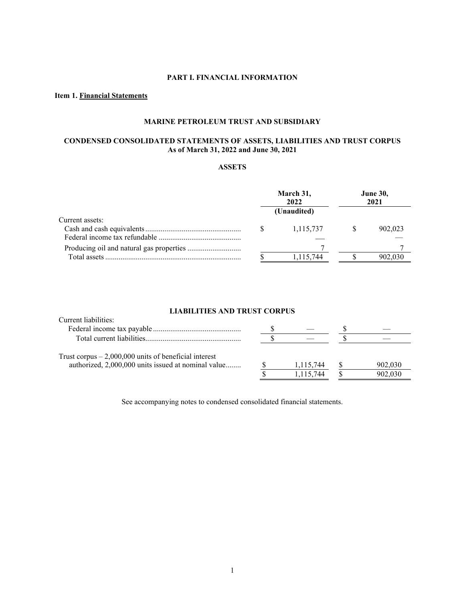# **PART I. FINANCIAL INFORMATION**

# **Item 1. Financial Statements**

# **MARINE PETROLEUM TRUST AND SUBSIDIARY**

# **CONDENSED CONSOLIDATED STATEMENTS OF ASSETS, LIABILITIES AND TRUST CORPUS As of March 31, 2022 and June 30, 2021**

# **ASSETS**

|                 | March 31,<br>2022 | <b>June 30,</b><br>2021 |         |  |
|-----------------|-------------------|-------------------------|---------|--|
|                 | (Unaudited)       |                         |         |  |
| Current assets: |                   |                         |         |  |
|                 | 1,115,737         |                         | 902,023 |  |
|                 |                   |                         |         |  |
|                 |                   |                         |         |  |
|                 | 1,115,744         |                         | 902.030 |  |

## **LIABILITIES AND TRUST CORPUS**

| Current liabilities:                                                                                          |           |         |
|---------------------------------------------------------------------------------------------------------------|-----------|---------|
|                                                                                                               |           |         |
|                                                                                                               |           |         |
| Trust corpus $-2,000,000$ units of beneficial interest<br>authorized, 2,000,000 units issued at nominal value | 1,115,744 | 902,030 |
|                                                                                                               | 1,115,744 | 902,030 |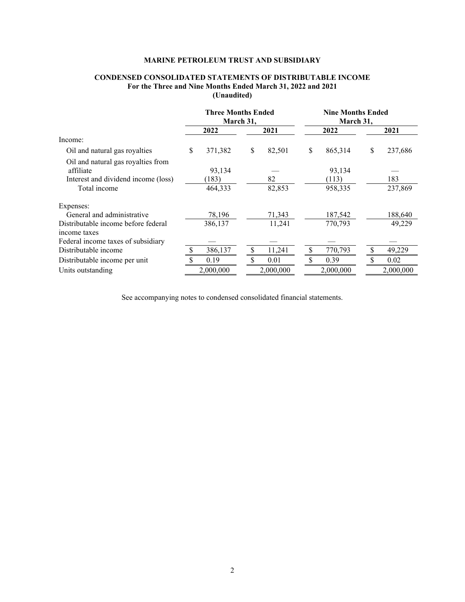# **CONDENSED CONSOLIDATED STATEMENTS OF DISTRIBUTABLE INCOME For the Three and Nine Months Ended March 31, 2022 and 2021 (Unaudited)**

|                                                                                                        | <b>Three Months Ended</b><br>March 31, |                            | <b>Nine Months Ended</b><br>March 31, |              |      |                            |    |                |
|--------------------------------------------------------------------------------------------------------|----------------------------------------|----------------------------|---------------------------------------|--------------|------|----------------------------|----|----------------|
|                                                                                                        |                                        | 2022                       |                                       | 2021         | 2022 |                            |    | 2021           |
| Income:                                                                                                |                                        |                            |                                       |              |      |                            |    |                |
| Oil and natural gas royalties                                                                          | <sup>\$</sup>                          | 371,382                    | \$                                    | 82,501       | \$   | 865,314                    | \$ | 237,686        |
| Oil and natural gas royalties from<br>affiliate<br>Interest and dividend income (loss)<br>Total income |                                        | 93,134<br>(183)<br>464,333 |                                       | 82<br>82,853 |      | 93,134<br>(113)<br>958,335 |    | 183<br>237,869 |
| Expenses:                                                                                              |                                        |                            |                                       |              |      |                            |    |                |
| General and administrative                                                                             |                                        | 78,196                     |                                       | 71,343       |      | 187,542                    |    | 188,640        |
| Distributable income before federal<br>income taxes                                                    |                                        | 386,137                    |                                       | 11,241       |      | 770,793                    |    | 49,229         |
| Federal income taxes of subsidiary                                                                     |                                        |                            |                                       |              |      |                            |    |                |
| Distributable income                                                                                   |                                        | 386,137                    |                                       | 11,241       | S    | 770,793                    |    | 49,229         |
| Distributable income per unit                                                                          |                                        | 0.19                       |                                       | 0.01         |      | 0.39                       |    | 0.02           |
| Units outstanding                                                                                      |                                        | 2,000,000                  |                                       | 2,000,000    |      | 2,000,000                  |    | 2,000,000      |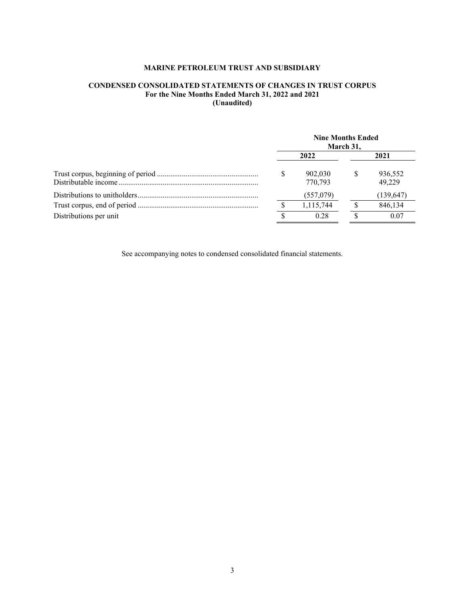# **CONDENSED CONSOLIDATED STATEMENTS OF CHANGES IN TRUST CORPUS For the Nine Months Ended March 31, 2022 and 2021 (Unaudited)**

|                        | <b>Nine Months Ended</b><br>March 31, |                    |    |                   |  |
|------------------------|---------------------------------------|--------------------|----|-------------------|--|
|                        |                                       | 2022               |    | 2021              |  |
|                        | S                                     | 902,030<br>770,793 | -S | 936,552<br>49.229 |  |
|                        |                                       | (557,079)          |    | (139, 647)        |  |
|                        |                                       | 1,115,744          |    | 846.134           |  |
| Distributions per unit |                                       | 0.28               |    | 0.07              |  |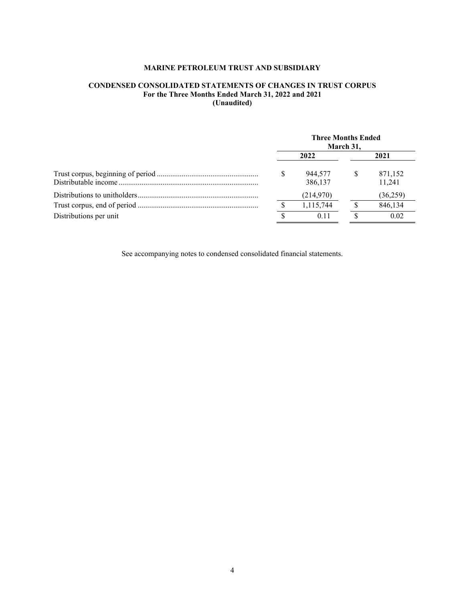# **CONDENSED CONSOLIDATED STATEMENTS OF CHANGES IN TRUST CORPUS For the Three Months Ended March 31, 2022 and 2021 (Unaudited)**

|                        | <b>Three Months Ended</b><br>March 31, |                    |    |                   |  |
|------------------------|----------------------------------------|--------------------|----|-------------------|--|
|                        |                                        | 2022               |    | 2021              |  |
|                        | S                                      | 944,577<br>386,137 | -S | 871,152<br>11.241 |  |
|                        |                                        | (214,970)          |    | (36,259)          |  |
|                        |                                        | 1,115,744          |    | 846,134           |  |
| Distributions per unit |                                        | 0.11               |    | 0.02              |  |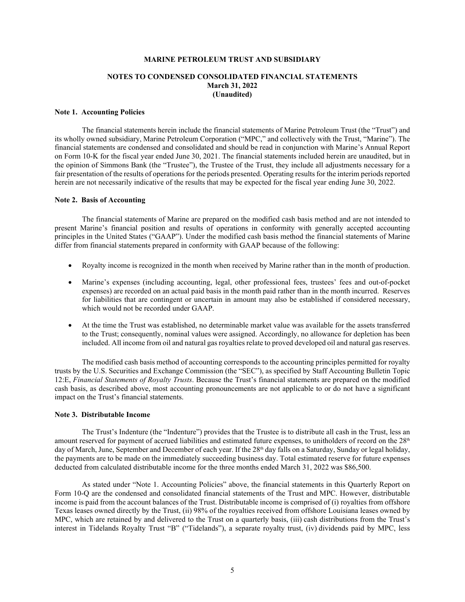### **NOTES TO CONDENSED CONSOLIDATED FINANCIAL STATEMENTS March 31, 2022 (Unaudited)**

### **Note 1. Accounting Policies**

The financial statements herein include the financial statements of Marine Petroleum Trust (the "Trust") and its wholly owned subsidiary, Marine Petroleum Corporation ("MPC," and collectively with the Trust, "Marine"). The financial statements are condensed and consolidated and should be read in conjunction with Marine's Annual Report on Form 10-K for the fiscal year ended June 30, 2021. The financial statements included herein are unaudited, but in the opinion of Simmons Bank (the "Trustee"), the Trustee of the Trust, they include all adjustments necessary for a fair presentation of the results of operations for the periods presented. Operating results for the interim periods reported herein are not necessarily indicative of the results that may be expected for the fiscal year ending June 30, 2022.

### **Note 2. Basis of Accounting**

The financial statements of Marine are prepared on the modified cash basis method and are not intended to present Marine's financial position and results of operations in conformity with generally accepted accounting principles in the United States ("GAAP"). Under the modified cash basis method the financial statements of Marine differ from financial statements prepared in conformity with GAAP because of the following:

- Royalty income is recognized in the month when received by Marine rather than in the month of production.
- Marine's expenses (including accounting, legal, other professional fees, trustees' fees and out-of-pocket expenses) are recorded on an actual paid basis in the month paid rather than in the month incurred. Reserves for liabilities that are contingent or uncertain in amount may also be established if considered necessary, which would not be recorded under GAAP.
- At the time the Trust was established, no determinable market value was available for the assets transferred to the Trust; consequently, nominal values were assigned. Accordingly, no allowance for depletion has been included. All income from oil and natural gas royalties relate to proved developed oil and natural gas reserves.

The modified cash basis method of accounting corresponds to the accounting principles permitted for royalty trusts by the U.S. Securities and Exchange Commission (the "SEC"), as specified by Staff Accounting Bulletin Topic 12:E, *Financial Statements of Royalty Trusts*. Because the Trust's financial statements are prepared on the modified cash basis, as described above, most accounting pronouncements are not applicable to or do not have a significant impact on the Trust's financial statements.

### **Note 3. Distributable Income**

The Trust's Indenture (the "Indenture") provides that the Trustee is to distribute all cash in the Trust, less an amount reserved for payment of accrued liabilities and estimated future expenses, to unitholders of record on the 28<sup>th</sup> day of March, June, September and December of each year. If the 28<sup>th</sup> day falls on a Saturday, Sunday or legal holiday, the payments are to be made on the immediately succeeding business day. Total estimated reserve for future expenses deducted from calculated distributable income for the three months ended March 31, 2022 was \$86,500.

As stated under "Note 1. Accounting Policies" above, the financial statements in this Quarterly Report on Form 10-Q are the condensed and consolidated financial statements of the Trust and MPC. However, distributable income is paid from the account balances of the Trust. Distributable income is comprised of (i) royalties from offshore Texas leases owned directly by the Trust, (ii) 98% of the royalties received from offshore Louisiana leases owned by MPC, which are retained by and delivered to the Trust on a quarterly basis, (iii) cash distributions from the Trust's interest in Tidelands Royalty Trust "B" ("Tidelands"), a separate royalty trust, (iv) dividends paid by MPC, less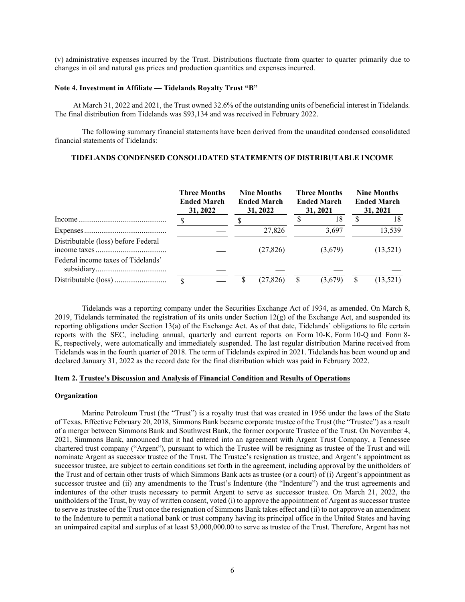(v) administrative expenses incurred by the Trust. Distributions fluctuate from quarter to quarter primarily due to changes in oil and natural gas prices and production quantities and expenses incurred.

### **Note 4. Investment in Affiliate — Tidelands Royalty Trust "B"**

At March 31, 2022 and 2021, the Trust owned 32.6% of the outstanding units of beneficial interest in Tidelands. The final distribution from Tidelands was \$93,134 and was received in February 2022.

The following summary financial statements have been derived from the unaudited condensed consolidated financial statements of Tidelands:

## **TIDELANDS CONDENSED CONSOLIDATED STATEMENTS OF DISTRIBUTABLE INCOME**

|                                     | <b>Three Months</b><br><b>Ended March</b><br>31, 2022 | <b>Nine Months</b><br>31, 2022 | <b>Ended March</b> |   | <b>Three Months</b><br><b>Ended March</b><br>31, 2021 | <b>Nine Months</b><br><b>Ended March</b><br>31, 2021 |
|-------------------------------------|-------------------------------------------------------|--------------------------------|--------------------|---|-------------------------------------------------------|------------------------------------------------------|
| $Income \dots 1$                    |                                                       |                                |                    |   | 18                                                    | 18                                                   |
|                                     |                                                       |                                | 27,826             |   | 3,697                                                 | 13,539                                               |
| Distributable (loss) before Federal |                                                       |                                | (27, 826)          |   | (3,679)                                               | (13,521)                                             |
| Federal income taxes of Tidelands'  |                                                       |                                |                    |   |                                                       |                                                      |
|                                     |                                                       |                                | (27,826)           | S | (3,679)                                               | (13, 521)                                            |

Tidelands was a reporting company under the Securities Exchange Act of 1934, as amended. On March 8, 2019, Tidelands terminated the registration of its units under Section  $12(g)$  of the Exchange Act, and suspended its reporting obligations under Section 13(a) of the Exchange Act. As of that date, Tidelands' obligations to file certain reports with the SEC, including annual, quarterly and current reports on Form 10-K, Form 10-Q and Form 8- K, respectively, were automatically and immediately suspended. The last regular distribution Marine received from Tidelands was in the fourth quarter of 2018. The term of Tidelands expired in 2021. Tidelands has been wound up and declared January 31, 2022 as the record date for the final distribution which was paid in February 2022.

## **Item 2. Trustee's Discussion and Analysis of Financial Condition and Results of Operations**

### **Organization**

Marine Petroleum Trust (the "Trust") is a royalty trust that was created in 1956 under the laws of the State of Texas. Effective February 20, 2018, Simmons Bank became corporate trustee of the Trust (the "Trustee") as a result of a merger between Simmons Bank and Southwest Bank, the former corporate Trustee of the Trust. On November 4, 2021, Simmons Bank, announced that it had entered into an agreement with Argent Trust Company, a Tennessee chartered trust company ("Argent"), pursuant to which the Trustee will be resigning as trustee of the Trust and will nominate Argent as successor trustee of the Trust. The Trustee's resignation as trustee, and Argent's appointment as successor trustee, are subject to certain conditions set forth in the agreement, including approval by the unitholders of the Trust and of certain other trusts of which Simmons Bank acts as trustee (or a court) of (i) Argent's appointment as successor trustee and (ii) any amendments to the Trust's Indenture (the "Indenture") and the trust agreements and indentures of the other trusts necessary to permit Argent to serve as successor trustee. On March 21, 2022, the unitholders of the Trust, by way of written consent, voted (i) to approve the appointment of Argent as successor trustee to serve as trustee of the Trust once the resignation of Simmons Bank takes effect and (ii) to not approve an amendment to the Indenture to permit a national bank or trust company having its principal office in the United States and having an unimpaired capital and surplus of at least \$3,000,000.00 to serve as trustee of the Trust. Therefore, Argent has not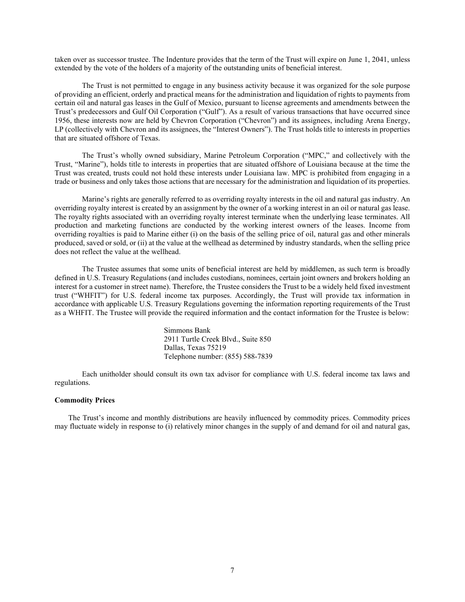taken over as successor trustee. The Indenture provides that the term of the Trust will expire on June 1, 2041, unless extended by the vote of the holders of a majority of the outstanding units of beneficial interest.

The Trust is not permitted to engage in any business activity because it was organized for the sole purpose of providing an efficient, orderly and practical means for the administration and liquidation of rights to payments from certain oil and natural gas leases in the Gulf of Mexico, pursuant to license agreements and amendments between the Trust's predecessors and Gulf Oil Corporation ("Gulf"). As a result of various transactions that have occurred since 1956, these interests now are held by Chevron Corporation ("Chevron") and its assignees, including Arena Energy, LP (collectively with Chevron and its assignees, the "Interest Owners"). The Trust holds title to interests in properties that are situated offshore of Texas.

The Trust's wholly owned subsidiary, Marine Petroleum Corporation ("MPC," and collectively with the Trust, "Marine"), holds title to interests in properties that are situated offshore of Louisiana because at the time the Trust was created, trusts could not hold these interests under Louisiana law. MPC is prohibited from engaging in a trade or business and only takes those actions that are necessary for the administration and liquidation of its properties.

Marine's rights are generally referred to as overriding royalty interests in the oil and natural gas industry. An overriding royalty interest is created by an assignment by the owner of a working interest in an oil or natural gas lease. The royalty rights associated with an overriding royalty interest terminate when the underlying lease terminates. All production and marketing functions are conducted by the working interest owners of the leases. Income from overriding royalties is paid to Marine either (i) on the basis of the selling price of oil, natural gas and other minerals produced, saved or sold, or (ii) at the value at the wellhead as determined by industry standards, when the selling price does not reflect the value at the wellhead.

The Trustee assumes that some units of beneficial interest are held by middlemen, as such term is broadly defined in U.S. Treasury Regulations (and includes custodians, nominees, certain joint owners and brokers holding an interest for a customer in street name). Therefore, the Trustee considers the Trust to be a widely held fixed investment trust ("WHFIT") for U.S. federal income tax purposes. Accordingly, the Trust will provide tax information in accordance with applicable U.S. Treasury Regulations governing the information reporting requirements of the Trust as a WHFIT. The Trustee will provide the required information and the contact information for the Trustee is below:

> Simmons Bank 2911 Turtle Creek Blvd., Suite 850 Dallas, Texas 75219 Telephone number: (855) 588-7839

Each unitholder should consult its own tax advisor for compliance with U.S. federal income tax laws and regulations.

#### **Commodity Prices**

The Trust's income and monthly distributions are heavily influenced by commodity prices. Commodity prices may fluctuate widely in response to (i) relatively minor changes in the supply of and demand for oil and natural gas,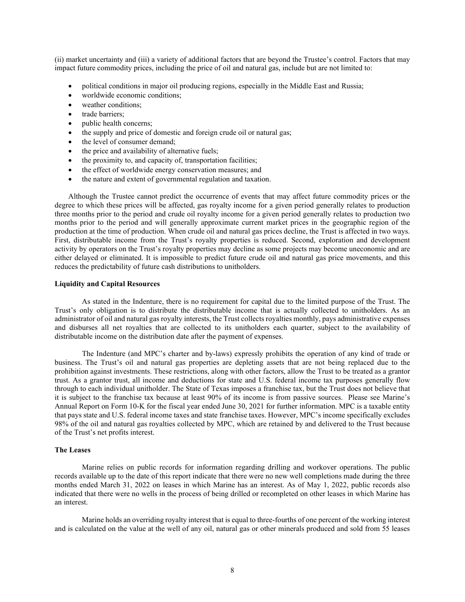(ii) market uncertainty and (iii) a variety of additional factors that are beyond the Trustee's control. Factors that may impact future commodity prices, including the price of oil and natural gas, include but are not limited to:

- political conditions in major oil producing regions, especially in the Middle East and Russia;
- worldwide economic conditions;
- weather conditions:
- trade barriers;
- public health concerns;
- the supply and price of domestic and foreign crude oil or natural gas;
- the level of consumer demand;
- the price and availability of alternative fuels;
- the proximity to, and capacity of, transportation facilities;
- the effect of worldwide energy conservation measures; and
- the nature and extent of governmental regulation and taxation.

Although the Trustee cannot predict the occurrence of events that may affect future commodity prices or the degree to which these prices will be affected, gas royalty income for a given period generally relates to production three months prior to the period and crude oil royalty income for a given period generally relates to production two months prior to the period and will generally approximate current market prices in the geographic region of the production at the time of production. When crude oil and natural gas prices decline, the Trust is affected in two ways. First, distributable income from the Trust's royalty properties is reduced. Second, exploration and development activity by operators on the Trust's royalty properties may decline as some projects may become uneconomic and are either delayed or eliminated. It is impossible to predict future crude oil and natural gas price movements, and this reduces the predictability of future cash distributions to unitholders.

## **Liquidity and Capital Resources**

As stated in the Indenture, there is no requirement for capital due to the limited purpose of the Trust. The Trust's only obligation is to distribute the distributable income that is actually collected to unitholders. As an administrator of oil and natural gas royalty interests, the Trust collects royalties monthly, pays administrative expenses and disburses all net royalties that are collected to its unitholders each quarter, subject to the availability of distributable income on the distribution date after the payment of expenses.

The Indenture (and MPC's charter and by-laws) expressly prohibits the operation of any kind of trade or business. The Trust's oil and natural gas properties are depleting assets that are not being replaced due to the prohibition against investments. These restrictions, along with other factors, allow the Trust to be treated as a grantor trust. As a grantor trust, all income and deductions for state and U.S. federal income tax purposes generally flow through to each individual unitholder. The State of Texas imposes a franchise tax, but the Trust does not believe that it is subject to the franchise tax because at least 90% of its income is from passive sources. Please see Marine's Annual Report on Form 10-K for the fiscal year ended June 30, 2021 for further information. MPC is a taxable entity that pays state and U.S. federal income taxes and state franchise taxes. However, MPC's income specifically excludes 98% of the oil and natural gas royalties collected by MPC, which are retained by and delivered to the Trust because of the Trust's net profits interest.

### **The Leases**

Marine relies on public records for information regarding drilling and workover operations. The public records available up to the date of this report indicate that there were no new well completions made during the three months ended March 31, 2022 on leases in which Marine has an interest. As of May 1, 2022, public records also indicated that there were no wells in the process of being drilled or recompleted on other leases in which Marine has an interest.

Marine holds an overriding royalty interest that is equal to three-fourths of one percent of the working interest and is calculated on the value at the well of any oil, natural gas or other minerals produced and sold from 55 leases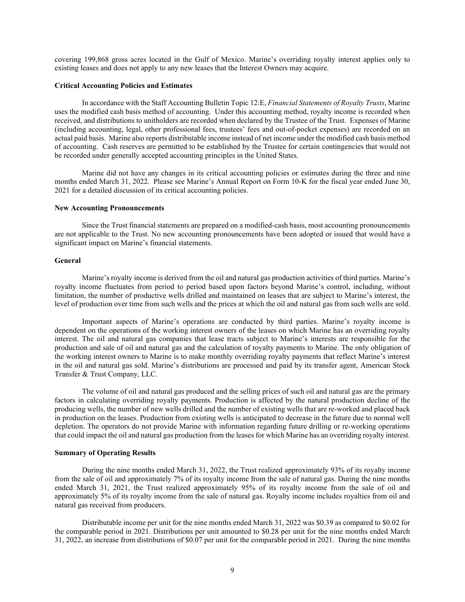covering 199,868 gross acres located in the Gulf of Mexico. Marine's overriding royalty interest applies only to existing leases and does not apply to any new leases that the Interest Owners may acquire.

### **Critical Accounting Policies and Estimates**

In accordance with the Staff Accounting Bulletin Topic 12:E, *Financial Statements of Royalty Trusts*, Marine uses the modified cash basis method of accounting. Under this accounting method, royalty income is recorded when received, and distributions to unitholders are recorded when declared by the Trustee of the Trust. Expenses of Marine (including accounting, legal, other professional fees, trustees' fees and out-of-pocket expenses) are recorded on an actual paid basis. Marine also reports distributable income instead of net income under the modified cash basis method of accounting. Cash reserves are permitted to be established by the Trustee for certain contingencies that would not be recorded under generally accepted accounting principles in the United States.

Marine did not have any changes in its critical accounting policies or estimates during the three and nine months ended March 31, 2022. Please see Marine's Annual Report on Form 10-K for the fiscal year ended June 30, 2021 for a detailed discussion of its critical accounting policies.

#### **New Accounting Pronouncements**

Since the Trust financial statements are prepared on a modified-cash basis, most accounting pronouncements are not applicable to the Trust. No new accounting pronouncements have been adopted or issued that would have a significant impact on Marine's financial statements.

#### **General**

Marine's royalty income is derived from the oil and natural gas production activities of third parties. Marine's royalty income fluctuates from period to period based upon factors beyond Marine's control, including, without limitation, the number of productive wells drilled and maintained on leases that are subject to Marine's interest, the level of production over time from such wells and the prices at which the oil and natural gas from such wells are sold.

Important aspects of Marine's operations are conducted by third parties. Marine's royalty income is dependent on the operations of the working interest owners of the leases on which Marine has an overriding royalty interest. The oil and natural gas companies that lease tracts subject to Marine's interests are responsible for the production and sale of oil and natural gas and the calculation of royalty payments to Marine. The only obligation of the working interest owners to Marine is to make monthly overriding royalty payments that reflect Marine's interest in the oil and natural gas sold. Marine's distributions are processed and paid by its transfer agent, American Stock Transfer & Trust Company, LLC.

The volume of oil and natural gas produced and the selling prices of such oil and natural gas are the primary factors in calculating overriding royalty payments. Production is affected by the natural production decline of the producing wells, the number of new wells drilled and the number of existing wells that are re-worked and placed back in production on the leases. Production from existing wells is anticipated to decrease in the future due to normal well depletion. The operators do not provide Marine with information regarding future drilling or re-working operations that could impact the oil and natural gas production from the leases for which Marine has an overriding royalty interest.

# **Summary of Operating Results**

During the nine months ended March 31, 2022, the Trust realized approximately 93% of its royalty income from the sale of oil and approximately 7% of its royalty income from the sale of natural gas. During the nine months ended March 31, 2021, the Trust realized approximately 95% of its royalty income from the sale of oil and approximately 5% of its royalty income from the sale of natural gas. Royalty income includes royalties from oil and natural gas received from producers.

Distributable income per unit for the nine months ended March 31, 2022 was \$0.39 as compared to \$0.02 for the comparable period in 2021. Distributions per unit amounted to \$0.28 per unit for the nine months ended March 31, 2022, an increase from distributions of \$0.07 per unit for the comparable period in 2021. During the nine months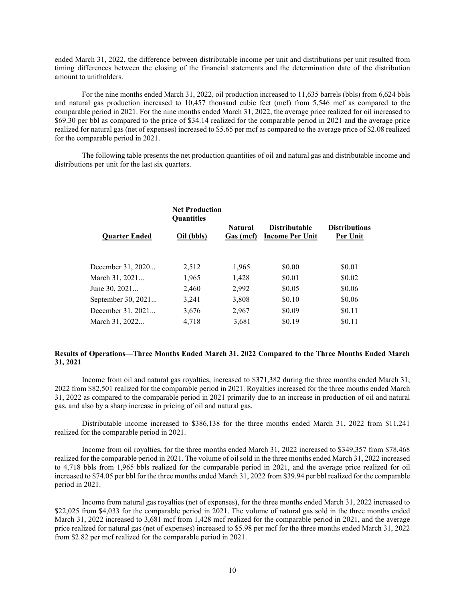ended March 31, 2022, the difference between distributable income per unit and distributions per unit resulted from timing differences between the closing of the financial statements and the determination date of the distribution amount to unitholders.

For the nine months ended March 31, 2022, oil production increased to 11,635 barrels (bbls) from 6,624 bbls and natural gas production increased to 10,457 thousand cubic feet (mcf) from 5,546 mcf as compared to the comparable period in 2021. For the nine months ended March 31, 2022, the average price realized for oil increased to \$69.30 per bbl as compared to the price of \$34.14 realized for the comparable period in 2021 and the average price realized for natural gas (net of expenses) increased to \$5.65 per mcf as compared to the average price of \$2.08 realized for the comparable period in 2021.

The following table presents the net production quantities of oil and natural gas and distributable income and distributions per unit for the last six quarters.

| <b>Distributions</b><br>Per Unit |
|----------------------------------|
|                                  |
| \$0.01                           |
| \$0.02                           |
| \$0.06                           |
| \$0.06                           |
| \$0.11                           |
| \$0.11                           |
|                                  |

## **Results of Operations—Three Months Ended March 31, 2022 Compared to the Three Months Ended March 31, 2021**

Income from oil and natural gas royalties, increased to \$371,382 during the three months ended March 31, 2022 from \$82,501 realized for the comparable period in 2021. Royalties increased for the three months ended March 31, 2022 as compared to the comparable period in 2021 primarily due to an increase in production of oil and natural gas, and also by a sharp increase in pricing of oil and natural gas.

Distributable income increased to \$386,138 for the three months ended March 31, 2022 from \$11,241 realized for the comparable period in 2021.

Income from oil royalties, for the three months ended March 31, 2022 increased to \$349,357 from \$78,468 realized for the comparable period in 2021. The volume of oil sold in the three months ended March 31, 2022 increased to 4,718 bbls from 1,965 bbls realized for the comparable period in 2021, and the average price realized for oil increased to \$74.05 per bbl for the three months ended March 31, 2022 from \$39.94 per bbl realized for the comparable period in 2021.

Income from natural gas royalties (net of expenses), for the three months ended March 31, 2022 increased to \$22,025 from \$4,033 for the comparable period in 2021. The volume of natural gas sold in the three months ended March 31, 2022 increased to 3,681 mcf from 1,428 mcf realized for the comparable period in 2021, and the average price realized for natural gas (net of expenses) increased to \$5.98 per mcf for the three months ended March 31, 2022 from \$2.82 per mcf realized for the comparable period in 2021.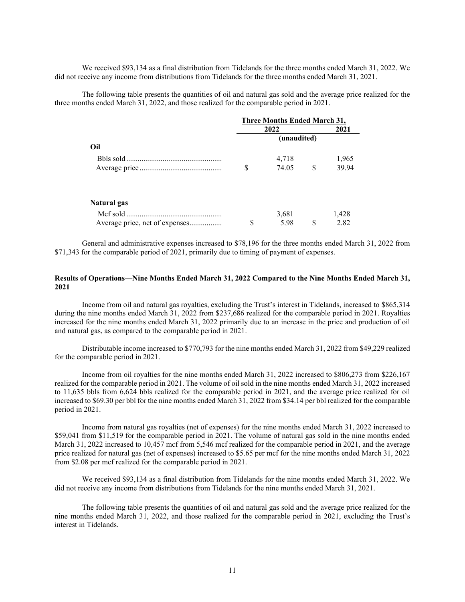We received \$93,134 as a final distribution from Tidelands for the three months ended March 31, 2022. We did not receive any income from distributions from Tidelands for the three months ended March 31, 2021.

The following table presents the quantities of oil and natural gas sold and the average price realized for the three months ended March 31, 2022, and those realized for the comparable period in 2021.

|                                |   |             | <b>Three Months Ended March 31,</b> |       |  |
|--------------------------------|---|-------------|-------------------------------------|-------|--|
|                                |   | 2022        |                                     |       |  |
|                                |   | (unaudited) |                                     |       |  |
| Oil                            |   |             |                                     |       |  |
|                                |   | 4,718       |                                     | 1,965 |  |
|                                | S | 74.05       | \$                                  | 39.94 |  |
| Natural gas                    |   |             |                                     |       |  |
|                                |   | 3,681       |                                     | 1,428 |  |
| Average price, net of expenses | S | 5.98        | S                                   | 2.82  |  |

General and administrative expenses increased to \$78,196 for the three months ended March 31, 2022 from \$71,343 for the comparable period of 2021, primarily due to timing of payment of expenses.

## **Results of Operations—Nine Months Ended March 31, 2022 Compared to the Nine Months Ended March 31, 2021**

Income from oil and natural gas royalties, excluding the Trust's interest in Tidelands, increased to \$865,314 during the nine months ended March 31, 2022 from \$237,686 realized for the comparable period in 2021. Royalties increased for the nine months ended March 31, 2022 primarily due to an increase in the price and production of oil and natural gas, as compared to the comparable period in 2021.

Distributable income increased to \$770,793 for the nine months ended March 31, 2022 from \$49,229 realized for the comparable period in 2021.

Income from oil royalties for the nine months ended March 31, 2022 increased to \$806,273 from \$226,167 realized for the comparable period in 2021. The volume of oil sold in the nine months ended March 31, 2022 increased to 11,635 bbls from 6,624 bbls realized for the comparable period in 2021, and the average price realized for oil increased to \$69.30 per bbl for the nine months ended March 31, 2022 from \$34.14 per bbl realized for the comparable period in 2021.

Income from natural gas royalties (net of expenses) for the nine months ended March 31, 2022 increased to \$59,041 from \$11,519 for the comparable period in 2021. The volume of natural gas sold in the nine months ended March 31, 2022 increased to 10,457 mcf from 5,546 mcf realized for the comparable period in 2021, and the average price realized for natural gas (net of expenses) increased to \$5.65 per mcf for the nine months ended March 31, 2022 from \$2.08 per mcf realized for the comparable period in 2021.

We received \$93,134 as a final distribution from Tidelands for the nine months ended March 31, 2022. We did not receive any income from distributions from Tidelands for the nine months ended March 31, 2021.

The following table presents the quantities of oil and natural gas sold and the average price realized for the nine months ended March 31, 2022, and those realized for the comparable period in 2021, excluding the Trust's interest in Tidelands.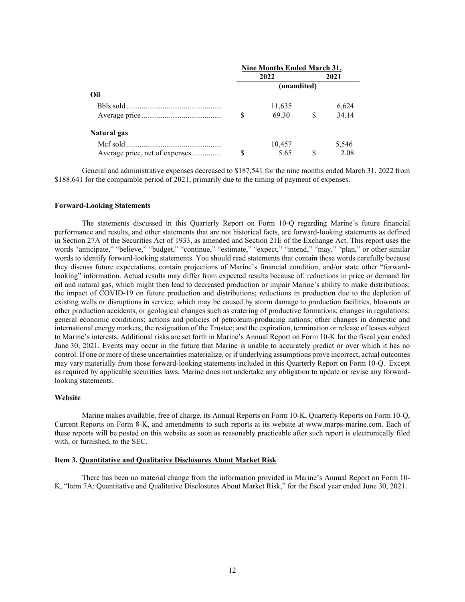|                                | <b>Nine Months Ended March 31,</b> |             |          |       |  |
|--------------------------------|------------------------------------|-------------|----------|-------|--|
|                                |                                    | 2022        |          | 2021  |  |
|                                |                                    | (unaudited) |          |       |  |
| Oil                            |                                    |             |          |       |  |
|                                |                                    | 11,635      |          | 6,624 |  |
|                                | S                                  | 69.30       | <b>S</b> | 34.14 |  |
| Natural gas                    |                                    |             |          |       |  |
|                                |                                    | 10,457      |          | 5,546 |  |
| Average price, net of expenses | S                                  | 5.65        | \$.      | 2.08  |  |

General and administrative expenses decreased to \$187,541 for the nine months ended March 31, 2022 from \$188,641 for the comparable period of 2021, primarily due to the timing of payment of expenses.

### **Forward-Looking Statements**

The statements discussed in this Quarterly Report on Form 10-Q regarding Marine's future financial performance and results, and other statements that are not historical facts, are forward-looking statements as defined in Section 27A of the Securities Act of 1933, as amended and Section 21E of the Exchange Act. This report uses the words "anticipate," "believe," "budget," "continue," "estimate," "expect," "intend," "may," "plan," or other similar words to identify forward-looking statements. You should read statements that contain these words carefully because they discuss future expectations, contain projections of Marine's financial condition, and/or state other "forwardlooking" information. Actual results may differ from expected results because of: reductions in price or demand for oil and natural gas, which might then lead to decreased production or impair Marine's ability to make distributions; the impact of COVID-19 on future production and distributions; reductions in production due to the depletion of existing wells or disruptions in service, which may be caused by storm damage to production facilities, blowouts or other production accidents, or geological changes such as cratering of productive formations; changes in regulations; general economic conditions; actions and policies of petroleum-producing nations; other changes in domestic and international energy markets; the resignation of the Trustee; and the expiration, termination or release of leases subject to Marine's interests. Additional risks are set forth in Marine's Annual Report on Form 10-K for the fiscal year ended June 30, 2021. Events may occur in the future that Marine is unable to accurately predict or over which it has no control. If one or more of these uncertainties materialize, or if underlying assumptions prove incorrect, actual outcomes may vary materially from those forward-looking statements included in this Quarterly Report on Form 10-Q. Except as required by applicable securities laws, Marine does not undertake any obligation to update or revise any forwardlooking statements.

#### **Website**

Marine makes available, free of charge, its Annual Reports on Form 10-K, Quarterly Reports on Form 10-Q, Current Reports on Form 8-K, and amendments to such reports at its website at www.marps-marine.com. Each of these reports will be posted on this website as soon as reasonably practicable after such report is electronically filed with, or furnished, to the SEC.

### **Item 3. Quantitative and Qualitative Disclosures About Market Risk**

There has been no material change from the information provided in Marine's Annual Report on Form 10- K, "Item 7A: Quantitative and Qualitative Disclosures About Market Risk," for the fiscal year ended June 30, 2021.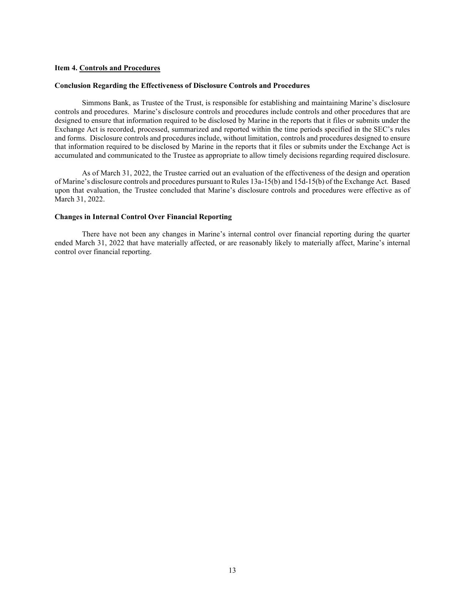#### **Item 4. Controls and Procedures**

### **Conclusion Regarding the Effectiveness of Disclosure Controls and Procedures**

Simmons Bank, as Trustee of the Trust, is responsible for establishing and maintaining Marine's disclosure controls and procedures. Marine's disclosure controls and procedures include controls and other procedures that are designed to ensure that information required to be disclosed by Marine in the reports that it files or submits under the Exchange Act is recorded, processed, summarized and reported within the time periods specified in the SEC's rules and forms. Disclosure controls and procedures include, without limitation, controls and procedures designed to ensure that information required to be disclosed by Marine in the reports that it files or submits under the Exchange Act is accumulated and communicated to the Trustee as appropriate to allow timely decisions regarding required disclosure.

As of March 31, 2022, the Trustee carried out an evaluation of the effectiveness of the design and operation of Marine's disclosure controls and procedures pursuant to Rules 13a-15(b) and 15d-15(b) of the Exchange Act. Based upon that evaluation, the Trustee concluded that Marine's disclosure controls and procedures were effective as of March 31, 2022.

## **Changes in Internal Control Over Financial Reporting**

There have not been any changes in Marine's internal control over financial reporting during the quarter ended March 31, 2022 that have materially affected, or are reasonably likely to materially affect, Marine's internal control over financial reporting.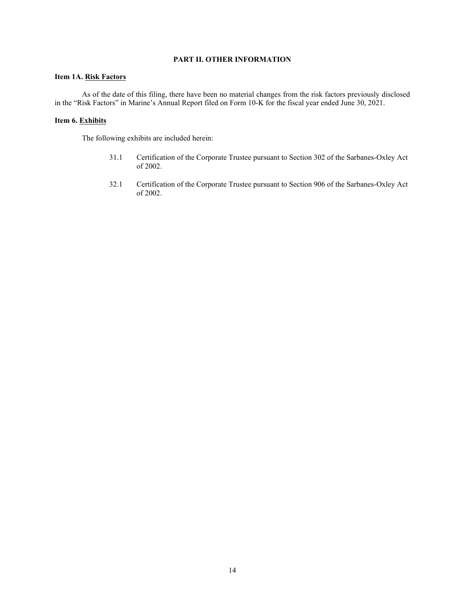# **PART II. OTHER INFORMATION**

# **Item 1A. Risk Factors**

As of the date of this filing, there have been no material changes from the risk factors previously disclosed in the "Risk Factors" in Marine's Annual Report filed on Form 10-K for the fiscal year ended June 30, 2021.

# **Item 6. Exhibits**

The following exhibits are included herein:

- 31.1 Certification of the Corporate Trustee pursuant to Section 302 of the Sarbanes-Oxley Act of 2002.
- 32.1 Certification of the Corporate Trustee pursuant to Section 906 of the Sarbanes-Oxley Act of 2002.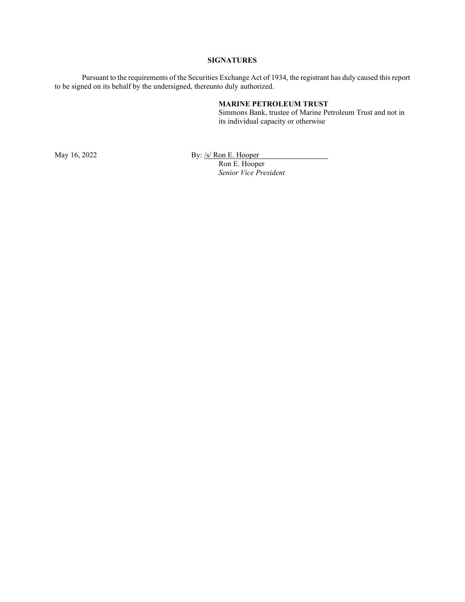## **SIGNATURES**

Pursuant to the requirements of the Securities Exchange Act of 1934, the registrant has duly caused this report to be signed on its behalf by the undersigned, thereunto duly authorized.

#### **MARINE PETROLEUM TRUST**

Simmons Bank, trustee of Marine Petroleum Trust and not in its individual capacity or otherwise

May 16, 2022 By: <u>/s/ Ron E. Hooper</u>

Ron E. Hooper *Senior Vice President*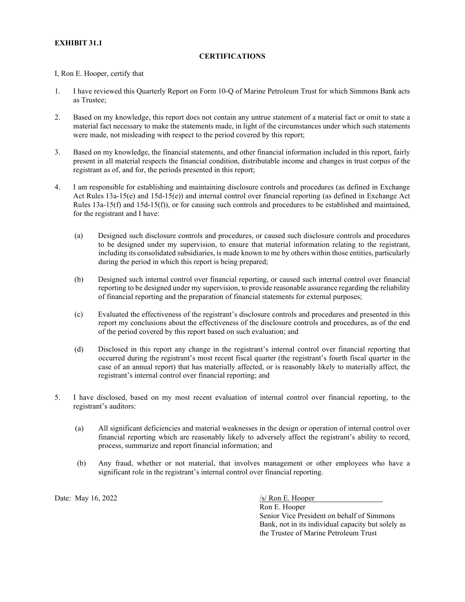# **EXHIBIT 31.1**

# **CERTIFICATIONS**

I, Ron E. Hooper, certify that

- 1. I have reviewed this Quarterly Report on Form 10-Q of Marine Petroleum Trust for which Simmons Bank acts as Trustee;
- 2. Based on my knowledge, this report does not contain any untrue statement of a material fact or omit to state a material fact necessary to make the statements made, in light of the circumstances under which such statements were made, not misleading with respect to the period covered by this report;
- 3. Based on my knowledge, the financial statements, and other financial information included in this report, fairly present in all material respects the financial condition, distributable income and changes in trust corpus of the registrant as of, and for, the periods presented in this report;
- 4. I am responsible for establishing and maintaining disclosure controls and procedures (as defined in Exchange Act Rules 13a-15(e) and 15d-15(e)) and internal control over financial reporting (as defined in Exchange Act Rules 13a-15(f) and 15d-15(f)), or for causing such controls and procedures to be established and maintained, for the registrant and I have:
	- (a) Designed such disclosure controls and procedures, or caused such disclosure controls and procedures to be designed under my supervision, to ensure that material information relating to the registrant, including its consolidated subsidiaries, is made known to me by others within those entities, particularly during the period in which this report is being prepared;
	- (b) Designed such internal control over financial reporting, or caused such internal control over financial reporting to be designed under my supervision, to provide reasonable assurance regarding the reliability of financial reporting and the preparation of financial statements for external purposes;
	- (c) Evaluated the effectiveness of the registrant's disclosure controls and procedures and presented in this report my conclusions about the effectiveness of the disclosure controls and procedures, as of the end of the period covered by this report based on such evaluation; and
	- (d) Disclosed in this report any change in the registrant's internal control over financial reporting that occurred during the registrant's most recent fiscal quarter (the registrant's fourth fiscal quarter in the case of an annual report) that has materially affected, or is reasonably likely to materially affect, the registrant's internal control over financial reporting; and
- 5. I have disclosed, based on my most recent evaluation of internal control over financial reporting, to the registrant's auditors:
	- (a) All significant deficiencies and material weaknesses in the design or operation of internal control over financial reporting which are reasonably likely to adversely affect the registrant's ability to record, process, summarize and report financial information; and
	- (b) Any fraud, whether or not material, that involves management or other employees who have a significant role in the registrant's internal control over financial reporting.

Date: May  $16, 2022$  /s/ Ron E. Hooper

Ron E. Hooper Senior Vice President on behalf of Simmons Bank, not in its individual capacity but solely as the Trustee of Marine Petroleum Trust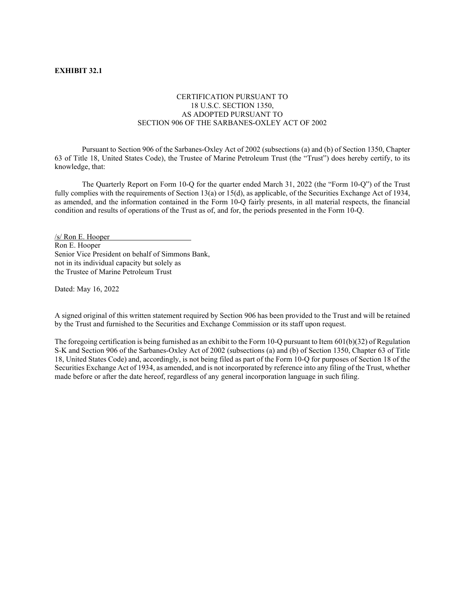## **EXHIBIT 32.1**

# CERTIFICATION PURSUANT TO 18 U.S.C. SECTION 1350, AS ADOPTED PURSUANT TO SECTION 906 OF THE SARBANES-OXLEY ACT OF 2002

Pursuant to Section 906 of the Sarbanes-Oxley Act of 2002 (subsections (a) and (b) of Section 1350, Chapter 63 of Title 18, United States Code), the Trustee of Marine Petroleum Trust (the "Trust") does hereby certify, to its knowledge, that:

The Quarterly Report on Form 10-Q for the quarter ended March 31, 2022 (the "Form 10-Q") of the Trust fully complies with the requirements of Section 13(a) or 15(d), as applicable, of the Securities Exchange Act of 1934, as amended, and the information contained in the Form 10-Q fairly presents, in all material respects, the financial condition and results of operations of the Trust as of, and for, the periods presented in the Form 10-Q.

/s/ Ron E. Hooper Ron E. Hooper Senior Vice President on behalf of Simmons Bank, not in its individual capacity but solely as the Trustee of Marine Petroleum Trust

Dated: May 16, 2022

A signed original of this written statement required by Section 906 has been provided to the Trust and will be retained by the Trust and furnished to the Securities and Exchange Commission or its staff upon request.

The foregoing certification is being furnished as an exhibit to the Form 10-Q pursuant to Item 601(b)(32) of Regulation S-K and Section 906 of the Sarbanes-Oxley Act of 2002 (subsections (a) and (b) of Section 1350, Chapter 63 of Title 18, United States Code) and, accordingly, is not being filed as part of the Form 10-Q for purposes of Section 18 of the Securities Exchange Act of 1934, as amended, and is not incorporated by reference into any filing of the Trust, whether made before or after the date hereof, regardless of any general incorporation language in such filing.